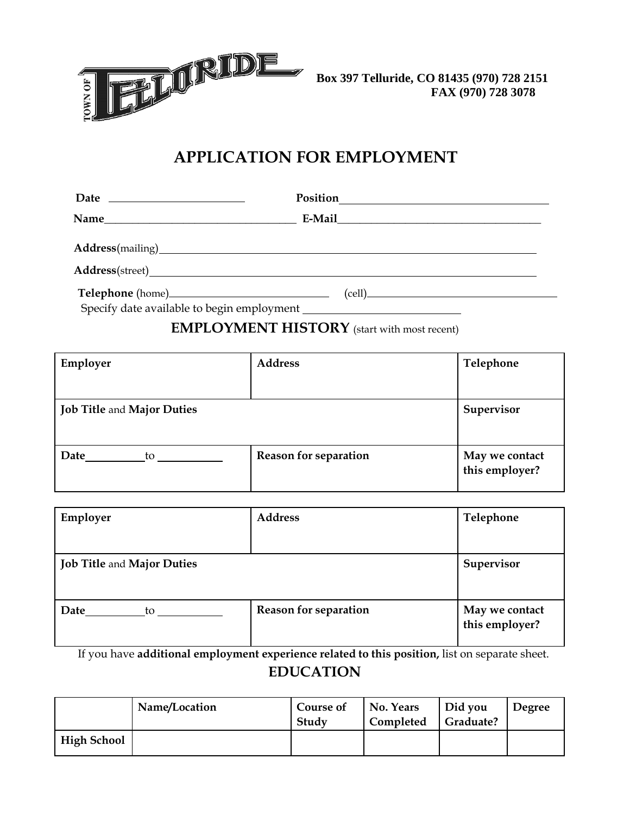

## **APPLICATION FOR EMPLOYMENT**

| Date $\frac{1}{\sqrt{1-\frac{1}{2}}}\frac{1}{\sqrt{1-\frac{1}{2}}}\frac{1}{\sqrt{1-\frac{1}{2}}}\frac{1}{\sqrt{1-\frac{1}{2}}}\frac{1}{\sqrt{1-\frac{1}{2}}}\frac{1}{\sqrt{1-\frac{1}{2}}}\frac{1}{\sqrt{1-\frac{1}{2}}}\frac{1}{\sqrt{1-\frac{1}{2}}}\frac{1}{\sqrt{1-\frac{1}{2}}}\frac{1}{\sqrt{1-\frac{1}{2}}}\frac{1}{\sqrt{1-\frac{1}{2}}}\frac{1}{\sqrt{1-\frac{1}{2}}}\frac{1}{\sqrt{1-\frac{1}{2}}}\frac{1}{\sqrt$ |                                             |  |  |  |
|-----------------------------------------------------------------------------------------------------------------------------------------------------------------------------------------------------------------------------------------------------------------------------------------------------------------------------------------------------------------------------------------------------------------------------|---------------------------------------------|--|--|--|
| Name                                                                                                                                                                                                                                                                                                                                                                                                                        |                                             |  |  |  |
|                                                                                                                                                                                                                                                                                                                                                                                                                             | Address(mailing)<br><u>Address(mailing)</u> |  |  |  |
|                                                                                                                                                                                                                                                                                                                                                                                                                             |                                             |  |  |  |
|                                                                                                                                                                                                                                                                                                                                                                                                                             | $\text{(cell)}$                             |  |  |  |

Specify date available to begin employment

## **EMPLOYMENT HISTORY** (start with most recent)

| Employer                          | <b>Address</b>               | Telephone                        |
|-----------------------------------|------------------------------|----------------------------------|
|                                   |                              |                                  |
| <b>Job Title and Major Duties</b> |                              | Supervisor                       |
| Date<br>to                        | <b>Reason for separation</b> | May we contact<br>this employer? |

| Employer                          | <b>Address</b>               | Telephone                        |
|-----------------------------------|------------------------------|----------------------------------|
| <b>Job Title and Major Duties</b> |                              | Supervisor                       |
| Date<br>to                        | <b>Reason for separation</b> | May we contact<br>this employer? |

If you have **additional employment experience related to this position,** list on separate sheet. **EDUCATION**

|             | Name/Location | Course of<br>Study | No. Years<br>Completed | Did you<br>Graduate? | Degree |
|-------------|---------------|--------------------|------------------------|----------------------|--------|
| High School |               |                    |                        |                      |        |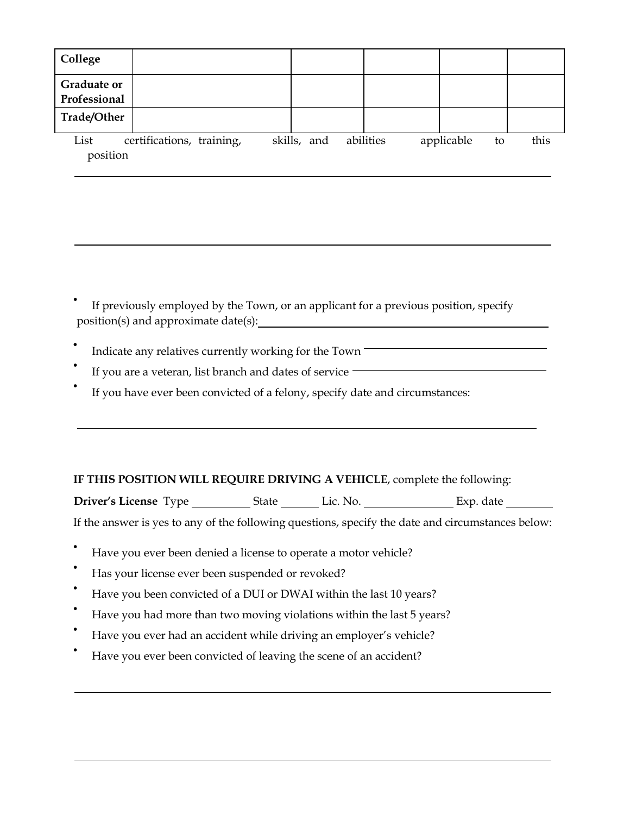| College                            |                           |             |           |            |    |      |
|------------------------------------|---------------------------|-------------|-----------|------------|----|------|
| <b>Graduate or</b><br>Professional |                           |             |           |            |    |      |
| Trade/Other                        |                           |             |           |            |    |      |
| List<br>position                   | certifications, training, | skills, and | abilities | applicable | to | this |

If previously employed by the Town, or an applicant for a previous position, specify position(s) and approximate date(s): <u> 1980 - Johann Barn, mars eta bainar eta bainar eta baina eta baina eta baina eta baina eta baina eta baina e</u>

• Indicate any relatives currently working for the Town

If you are a veteran, list branch and dates of service **with an armord and the service**  $\blacksquare$ 

If you have ever been convicted of a felony, specify date and circumstances:

## **IF THIS POSITION WILL REQUIRE DRIVING A VEHICLE**, complete the following:

Driver's License Type \_\_\_\_\_\_\_\_\_\_\_\_State \_\_\_\_\_\_\_\_ Lic. No. \_\_\_\_\_\_\_\_\_\_\_\_\_\_\_\_\_\_\_\_\_Exp. date \_\_\_\_\_\_\_\_\_\_\_

If the answer is yes to any of the following questions, specify the date and circumstances below:

- Have you ever been denied a license to operate a motor vehicle?
- Has your license ever been suspended or revoked?
- Have you been convicted of a DUI or DWAI within the last 10 years?
- Have you had more than two moving violations within the last 5 years?
- Have you ever had an accident while driving an employer's vehicle?
- Have you ever been convicted of leaving the scene of an accident?